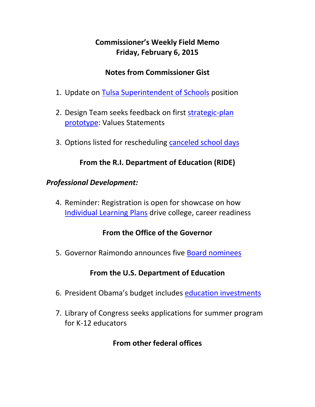# **Commissioner's Weekly Field Memo Friday, February 6, 2015**

### **Notes from Commissioner Gist**

- 1. Update on Tulsa Superintendent of Schools position
- 2. Design Team seeks feedback on first strategic‐plan prototype: Values Statements
- 3. Options listed for rescheduling canceled school days

## **From the R.I. Department of Education (RIDE)**

### *Professional Development:*

4. Reminder: Registration is open for showcase on how Individual Learning Plans drive college, career readiness

### **From the Office of the Governor**

5. Governor Raimondo announces five Board nominees

### **From the U.S. Department of Education**

- 6. President Obama's budget includes education investments
- 7. Library of Congress seeks applications for summer program for K‐12 educators

## **From other federal offices**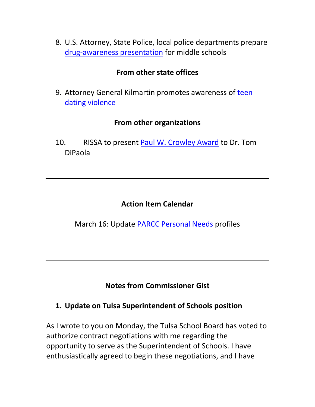8. U.S. Attorney, State Police, local police departments prepare drug‐awareness presentation for middle schools

### **From other state offices**

9. Attorney General Kilmartin promotes awareness of teen dating violence

### **From other organizations**

10. RISSA to present Paul W. Crowley Award to Dr. Tom DiPaola

## **Action Item Calendar**

March 16: Update PARCC Personal Needs profiles

## **Notes from Commissioner Gist**

### **1. Update on Tulsa Superintendent of Schools position**

As I wrote to you on Monday, the Tulsa School Board has voted to authorize contract negotiations with me regarding the opportunity to serve as the Superintendent of Schools. I have enthusiastically agreed to begin these negotiations, and I have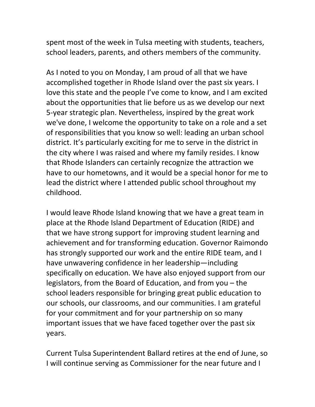spent most of the week in Tulsa meeting with students, teachers, school leaders, parents, and others members of the community.

As I noted to you on Monday, I am proud of all that we have accomplished together in Rhode Island over the past six years. I love this state and the people I've come to know, and I am excited about the opportunities that lie before us as we develop our next 5‐year strategic plan. Nevertheless, inspired by the great work we've done, I welcome the opportunity to take on a role and a set of responsibilities that you know so well: leading an urban school district. It's particularly exciting for me to serve in the district in the city where I was raised and where my family resides. I know that Rhode Islanders can certainly recognize the attraction we have to our hometowns, and it would be a special honor for me to lead the district where I attended public school throughout my childhood.

I would leave Rhode Island knowing that we have a great team in place at the Rhode Island Department of Education (RIDE) and that we have strong support for improving student learning and achievement and for transforming education. Governor Raimondo has strongly supported our work and the entire RIDE team, and I have unwavering confidence in her leadership—including specifically on education. We have also enjoyed support from our legislators, from the Board of Education, and from you – the school leaders responsible for bringing great public education to our schools, our classrooms, and our communities. I am grateful for your commitment and for your partnership on so many important issues that we have faced together over the past six years.

Current Tulsa Superintendent Ballard retires at the end of June, so I will continue serving as Commissioner for the near future and I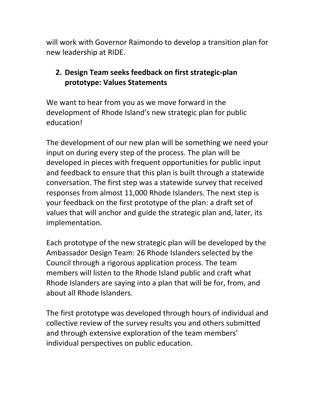will work with Governor Raimondo to develop a transition plan for new leadership at RIDE.

## **2. Design Team seeks feedback on first strategic‐plan prototype: Values Statements**

We want to hear from you as we move forward in the development of Rhode Island's new strategic plan for public education!

The development of our new plan will be something we need your input on during every step of the process. The plan will be developed in pieces with frequent opportunities for public input and feedback to ensure that this plan is built through a statewide conversation. The first step was a statewide survey that received responses from almost 11,000 Rhode Islanders. The next step is your feedback on the first prototype of the plan: a draft set of values that will anchor and guide the strategic plan and, later, its implementation.

Each prototype of the new strategic plan will be developed by the Ambassador Design Team: 26 Rhode Islanders selected by the Council through a rigorous application process. The team members will listen to the Rhode Island public and craft what Rhode Islanders are saying into a plan that will be for, from, and about all Rhode Islanders.

The first prototype was developed through hours of individual and collective review of the survey results you and others submitted and through extensive exploration of the team members' individual perspectives on public education.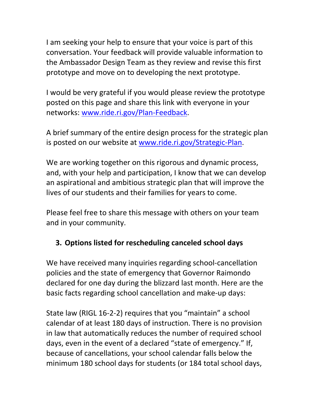I am seeking your help to ensure that your voice is part of this conversation. Your feedback will provide valuable information to the Ambassador Design Team as they review and revise this first prototype and move on to developing the next prototype.

I would be very grateful if you would please review the prototype posted on this page and share this link with everyone in your networks: www.ride.ri.gov/Plan‐Feedback.

A brief summary of the entire design process for the strategic plan is posted on our website at www.ride.ri.gov/Strategic‐Plan.

We are working together on this rigorous and dynamic process, and, with your help and participation, I know that we can develop an aspirational and ambitious strategic plan that will improve the lives of our students and their families for years to come.

Please feel free to share this message with others on your team and in your community.

# **3. Options listed for rescheduling canceled school days**

We have received many inquiries regarding school-cancellation policies and the state of emergency that Governor Raimondo declared for one day during the blizzard last month. Here are the basic facts regarding school cancellation and make‐up days:

State law (RIGL 16‐2‐2) requires that you "maintain" a school calendar of at least 180 days of instruction. There is no provision in law that automatically reduces the number of required school days, even in the event of a declared "state of emergency." If, because of cancellations, your school calendar falls below the minimum 180 school days for students (or 184 total school days,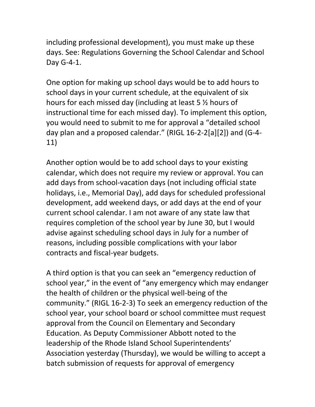including professional development), you must make up these days. See: Regulations Governing the School Calendar and School Day G‐4‐1.

One option for making up school days would be to add hours to school days in your current schedule, at the equivalent of six hours for each missed day (including at least 5 ½ hours of instructional time for each missed day). To implement this option, you would need to submit to me for approval a "detailed school day plan and a proposed calendar." (RIGL 16‐2‐2[a][2]) and (G‐4‐ 11)

Another option would be to add school days to your existing calendar, which does not require my review or approval. You can add days from school‐vacation days (not including official state holidays, i.e., Memorial Day), add days for scheduled professional development, add weekend days, or add days at the end of your current school calendar. I am not aware of any state law that requires completion of the school year by June 30, but I would advise against scheduling school days in July for a number of reasons, including possible complications with your labor contracts and fiscal‐year budgets.

A third option is that you can seek an "emergency reduction of school year," in the event of "any emergency which may endanger the health of children or the physical well‐being of the community." (RIGL 16‐2‐3) To seek an emergency reduction of the school year, your school board or school committee must request approval from the Council on Elementary and Secondary Education. As Deputy Commissioner Abbott noted to the leadership of the Rhode Island School Superintendents' Association yesterday (Thursday), we would be willing to accept a batch submission of requests for approval of emergency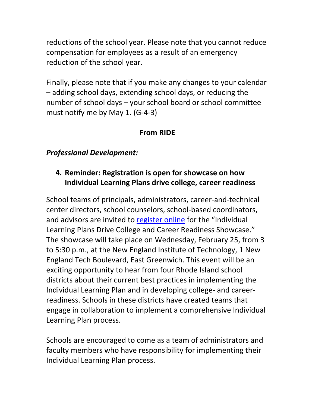reductions of the school year. Please note that you cannot reduce compensation for employees as a result of an emergency reduction of the school year.

Finally, please note that if you make any changes to your calendar – adding school days, extending school days, or reducing the number of school days – your school board or school committee must notify me by May 1. (G‐4‐3)

### **From RIDE**

### *Professional Development:*

## **4. Reminder: Registration is open for showcase on how Individual Learning Plans drive college, career readiness**

School teams of principals, administrators, career‐and‐technical center directors, school counselors, school‐based coordinators, and advisors are invited to register online for the "Individual Learning Plans Drive College and Career Readiness Showcase." The showcase will take place on Wednesday, February 25, from 3 to 5:30 p.m., at the New England Institute of Technology, 1 New England Tech Boulevard, East Greenwich. This event will be an exciting opportunity to hear from four Rhode Island school districts about their current best practices in implementing the Individual Learning Plan and in developing college‐ and career‐ readiness. Schools in these districts have created teams that engage in collaboration to implement a comprehensive Individual Learning Plan process.

Schools are encouraged to come as a team of administrators and faculty members who have responsibility for implementing their Individual Learning Plan process.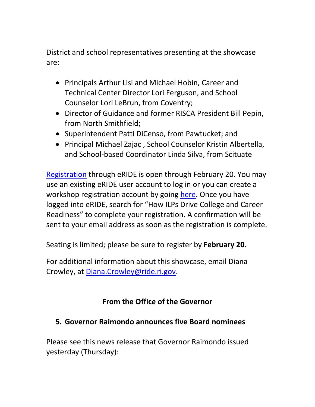District and school representatives presenting at the showcase are:

- Principals Arthur Lisi and Michael Hobin, Career and Technical Center Director Lori Ferguson, and School Counselor Lori LeBrun, from Coventry;
- Director of Guidance and former RISCA President Bill Pepin, from North Smithfield;
- Superintendent Patti DiCenso, from Pawtucket; and
- Principal Michael Zajac , School Counselor Kristin Albertella, and School‐based Coordinator Linda Silva, from Scituate

Registration through eRIDE is open through February 20. You may use an existing eRIDE user account to log in or you can create a workshop registration account by going here. Once you have logged into eRIDE, search for "How ILPs Drive College and Career Readiness" to complete your registration. A confirmation will be sent to your email address as soon as the registration is complete.

Seating is limited; please be sure to register by **February 20**.

For additional information about this showcase, email Diana Crowley, at Diana.Crowley@ride.ri.gov.

## **From the Office of the Governor**

## **5. Governor Raimondo announces five Board nominees**

Please see this news release that Governor Raimondo issued yesterday (Thursday):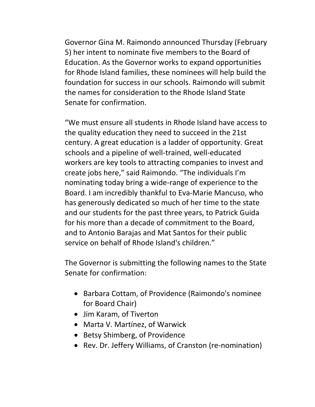Governor Gina M. Raimondo announced Thursday (February 5) her intent to nominate five members to the Board of Education. As the Governor works to expand opportunities for Rhode Island families, these nominees will help build the foundation for success in our schools. Raimondo will submit the names for consideration to the Rhode Island State Senate for confirmation.

"We must ensure all students in Rhode Island have access to the quality education they need to succeed in the 21st century. A great education is a ladder of opportunity. Great schools and a pipeline of well‐trained, well‐educated workers are key tools to attracting companies to invest and create jobs here," said Raimondo. "The individuals I'm nominating today bring a wide‐range of experience to the Board. I am incredibly thankful to Eva‐Marie Mancuso, who has generously dedicated so much of her time to the state and our students for the past three years, to Patrick Guida for his more than a decade of commitment to the Board, and to Antonio Barajas and Mat Santos for their public service on behalf of Rhode Island's children."

The Governor is submitting the following names to the State Senate for confirmation:

- Barbara Cottam, of Providence (Raimondo's nominee for Board Chair)
- Jim Karam, of Tiverton
- Marta V. Martínez, of Warwick
- Betsy Shimberg, of Providence
- Rev. Dr. Jeffery Williams, of Cranston (re-nomination)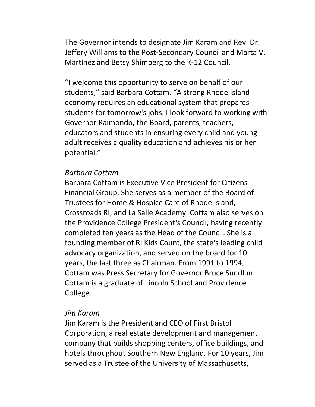The Governor intends to designate Jim Karam and Rev. Dr. Jeffery Williams to the Post‐Secondary Council and Marta V. Martínez and Betsy Shimberg to the K‐12 Council.

"I welcome this opportunity to serve on behalf of our students," said Barbara Cottam. "A strong Rhode Island economy requires an educational system that prepares students for tomorrow's jobs. I look forward to working with Governor Raimondo, the Board, parents, teachers, educators and students in ensuring every child and young adult receives a quality education and achieves his or her potential."

#### *Barbara Cottam*

Barbara Cottam is Executive Vice President for Citizens Financial Group. She serves as a member of the Board of Trustees for Home & Hospice Care of Rhode Island, Crossroads RI, and La Salle Academy. Cottam also serves on the Providence College President's Council, having recently completed ten years as the Head of the Council. She is a founding member of RI Kids Count, the state's leading child advocacy organization, and served on the board for 10 years, the last three as Chairman. From 1991 to 1994, Cottam was Press Secretary for Governor Bruce Sundlun. Cottam is a graduate of Lincoln School and Providence College.

#### *Jim Karam*

Jim Karam is the President and CEO of First Bristol Corporation, a real estate development and management company that builds shopping centers, office buildings, and hotels throughout Southern New England. For 10 years, Jim served as a Trustee of the University of Massachusetts,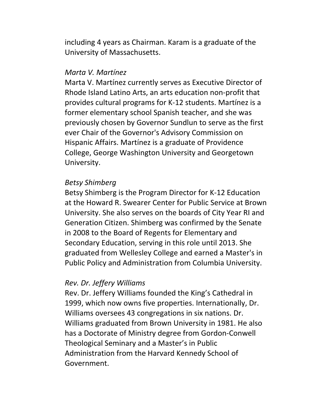including 4 years as Chairman. Karam is a graduate of the University of Massachusetts.

#### *Marta V. Martínez*

Marta V. Martínez currently serves as Executive Director of Rhode Island Latino Arts, an arts education non‐profit that provides cultural programs for K‐12 students. Martínez is a former elementary school Spanish teacher, and she was previously chosen by Governor Sundlun to serve as the first ever Chair of the Governor's Advisory Commission on Hispanic Affairs. Martínez is a graduate of Providence College, George Washington University and Georgetown University.

#### *Betsy Shimberg*

Betsy Shimberg is the Program Director for K‐12 Education at the Howard R. Swearer Center for Public Service at Brown University. She also serves on the boards of City Year RI and Generation Citizen. Shimberg was confirmed by the Senate in 2008 to the Board of Regents for Elementary and Secondary Education, serving in this role until 2013. She graduated from Wellesley College and earned a Master's in Public Policy and Administration from Columbia University.

#### *Rev. Dr. Jeffery Williams*

Rev. Dr. Jeffery Williams founded the King's Cathedral in 1999, which now owns five properties. Internationally, Dr. Williams oversees 43 congregations in six nations. Dr. Williams graduated from Brown University in 1981. He also has a Doctorate of Ministry degree from Gordon‐Conwell Theological Seminary and a Master's in Public Administration from the Harvard Kennedy School of Government.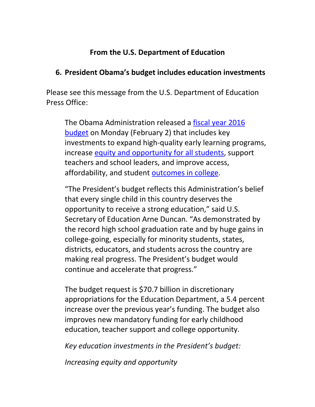### **From the U.S. Department of Education**

### **6. President Obama's budget includes education investments**

Please see this message from the U.S. Department of Education Press Office:

The Obama Administration released a fiscal year 2016 budget on Monday (February 2) that includes key investments to expand high‐quality early learning programs, increase equity and opportunity for all students, support teachers and school leaders, and improve access, affordability, and student outcomes in college.

"The President's budget reflects this Administration's belief that every single child in this country deserves the opportunity to receive a strong education," said U.S. Secretary of Education Arne Duncan. "As demonstrated by the record high school graduation rate and by huge gains in college‐going, especially for minority students, states, districts, educators, and students across the country are making real progress. The President's budget would continue and accelerate that progress."

The budget request is \$70.7 billion in discretionary appropriations for the Education Department, a 5.4 percent increase over the previous year's funding. The budget also improves new mandatory funding for early childhood education, teacher support and college opportunity.

*Key education investments in the President's budget:*

*Increasing equity and opportunity*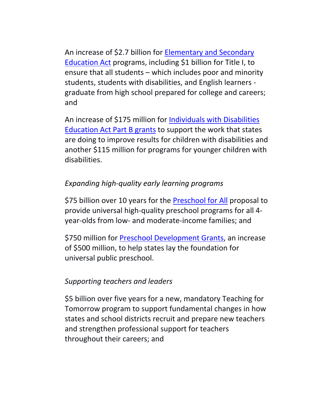An increase of \$2.7 billion for Elementary and Secondary Education Act programs, including \$1 billion for Title I, to ensure that all students – which includes poor and minority students, students with disabilities, and English learners ‐ graduate from high school prepared for college and careers; and

An increase of \$175 million for **Individuals with Disabilities** Education Act Part B grants to support the work that states are doing to improve results for children with disabilities and another \$115 million for programs for younger children with disabilities.

## *Expanding high‐quality early learning programs*

\$75 billion over 10 years for the Preschool for All proposal to provide universal high‐quality preschool programs for all 4‐ year‐olds from low‐ and moderate‐income families; and

\$750 million for Preschool Development Grants, an increase of \$500 million, to help states lay the foundation for universal public preschool.

### *Supporting teachers and leaders*

\$5 billion over five years for a new, mandatory Teaching for Tomorrow program to support fundamental changes in how states and school districts recruit and prepare new teachers and strengthen professional support for teachers throughout their careers; and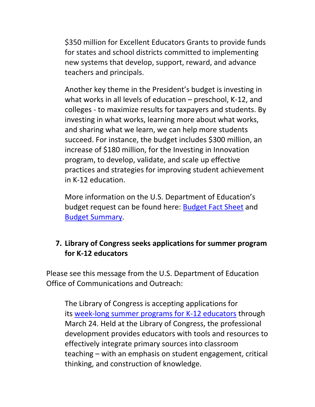\$350 million for Excellent Educators Grants to provide funds for states and school districts committed to implementing new systems that develop, support, reward, and advance teachers and principals.

Another key theme in the President's budget is investing in what works in all levels of education – preschool, K‐12, and colleges ‐ to maximize results for taxpayers and students. By investing in what works, learning more about what works, and sharing what we learn, we can help more students succeed. For instance, the budget includes \$300 million, an increase of \$180 million, for the Investing in Innovation program, to develop, validate, and scale up effective practices and strategies for improving student achievement in K‐12 education.

More information on the U.S. Department of Education's budget request can be found here: Budget Fact Sheet and Budget Summary.

## **7. Library of Congress seeks applications for summer program for K‐12 educators**

Please see this message from the U.S. Department of Education Office of Communications and Outreach:

The Library of Congress is accepting applications for its week‐long summer programs for K‐12 educators through March 24. Held at the Library of Congress, the professional development provides educators with tools and resources to effectively integrate primary sources into classroom teaching – with an emphasis on student engagement, critical thinking, and construction of knowledge.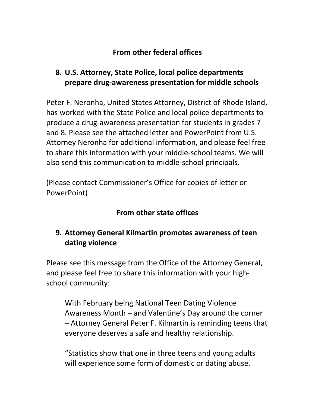## **From other federal offices**

## **8. U.S. Attorney, State Police, local police departments prepare drug‐awareness presentation for middle schools**

Peter F. Neronha, United States Attorney, District of Rhode Island, has worked with the State Police and local police departments to produce a drug‐awareness presentation for students in grades 7 and 8. Please see the attached letter and PowerPoint from U.S. Attorney Neronha for additional information, and please feel free to share this information with your middle‐school teams. We will also send this communication to middle‐school principals.

(Please contact Commissioner's Office for copies of letter or PowerPoint)

# **From other state offices**

# **9. Attorney General Kilmartin promotes awareness of teen dating violence**

Please see this message from the Office of the Attorney General, and please feel free to share this information with your high‐ school community:

With February being National Teen Dating Violence Awareness Month – and Valentine's Day around the corner – Attorney General Peter F. Kilmartin is reminding teens that everyone deserves a safe and healthy relationship.

"Statistics show that one in three teens and young adults will experience some form of domestic or dating abuse.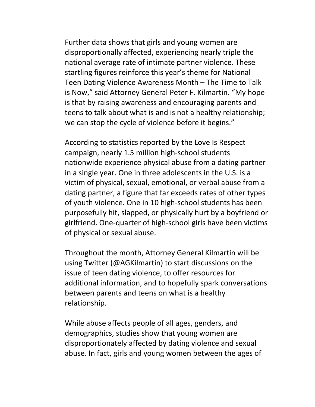Further data shows that girls and young women are disproportionally affected, experiencing nearly triple the national average rate of intimate partner violence. These startling figures reinforce this year's theme for National Teen Dating Violence Awareness Month – The Time to Talk is Now," said Attorney General Peter F. Kilmartin. "My hope is that by raising awareness and encouraging parents and teens to talk about what is and is not a healthy relationship; we can stop the cycle of violence before it begins."

According to statistics reported by the Love Is Respect campaign, nearly 1.5 million high‐school students nationwide experience physical abuse from a dating partner in a single year. One in three adolescents in the U.S. is a victim of physical, sexual, emotional, or verbal abuse from a dating partner, a figure that far exceeds rates of other types of youth violence. One in 10 high‐school students has been purposefully hit, slapped, or physically hurt by a boyfriend or girlfriend. One‐quarter of high‐school girls have been victims of physical or sexual abuse.

Throughout the month, Attorney General Kilmartin will be using Twitter (@AGKilmartin) to start discussions on the issue of teen dating violence, to offer resources for additional information, and to hopefully spark conversations between parents and teens on what is a healthy relationship.

While abuse affects people of all ages, genders, and demographics, studies show that young women are disproportionately affected by dating violence and sexual abuse. In fact, girls and young women between the ages of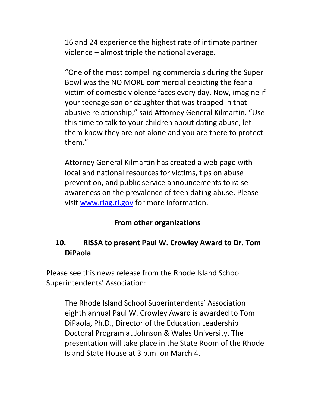16 and 24 experience the highest rate of intimate partner violence – almost triple the national average.

"One of the most compelling commercials during the Super Bowl was the NO MORE commercial depicting the fear a victim of domestic violence faces every day. Now, imagine if your teenage son or daughter that was trapped in that abusive relationship," said Attorney General Kilmartin. "Use this time to talk to your children about dating abuse, let them know they are not alone and you are there to protect them."

Attorney General Kilmartin has created a web page with local and national resources for victims, tips on abuse prevention, and public service announcements to raise awareness on the prevalence of teen dating abuse. Please visit www.riag.ri.gov for more information.

## **From other organizations**

## **10. RISSA to present Paul W. Crowley Award to Dr. Tom DiPaola**

Please see this news release from the Rhode Island School Superintendents' Association:

The Rhode Island School Superintendents' Association eighth annual Paul W. Crowley Award is awarded to Tom DiPaola, Ph.D., Director of the Education Leadership Doctoral Program at Johnson & Wales University. The presentation will take place in the State Room of the Rhode Island State House at 3 p.m. on March 4.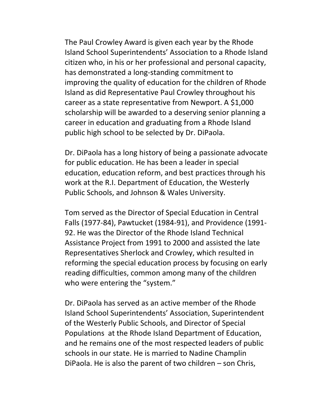The Paul Crowley Award is given each year by the Rhode Island School Superintendents' Association to a Rhode Island citizen who, in his or her professional and personal capacity, has demonstrated a long‐standing commitment to improving the quality of education for the children of Rhode Island as did Representative Paul Crowley throughout his career as a state representative from Newport. A \$1,000 scholarship will be awarded to a deserving senior planning a career in education and graduating from a Rhode Island public high school to be selected by Dr. DiPaola.

Dr. DiPaola has a long history of being a passionate advocate for public education. He has been a leader in special education, education reform, and best practices through his work at the R.I. Department of Education, the Westerly Public Schools, and Johnson & Wales University.

Tom served as the Director of Special Education in Central Falls (1977‐84), Pawtucket (1984‐91), and Providence (1991‐ 92. He was the Director of the Rhode Island Technical Assistance Project from 1991 to 2000 and assisted the late Representatives Sherlock and Crowley, which resulted in reforming the special education process by focusing on early reading difficulties, common among many of the children who were entering the "system."

Dr. DiPaola has served as an active member of the Rhode Island School Superintendents' Association, Superintendent of the Westerly Public Schools, and Director of Special Populations at the Rhode Island Department of Education, and he remains one of the most respected leaders of public schools in our state. He is married to Nadine Champlin DiPaola. He is also the parent of two children – son Chris,